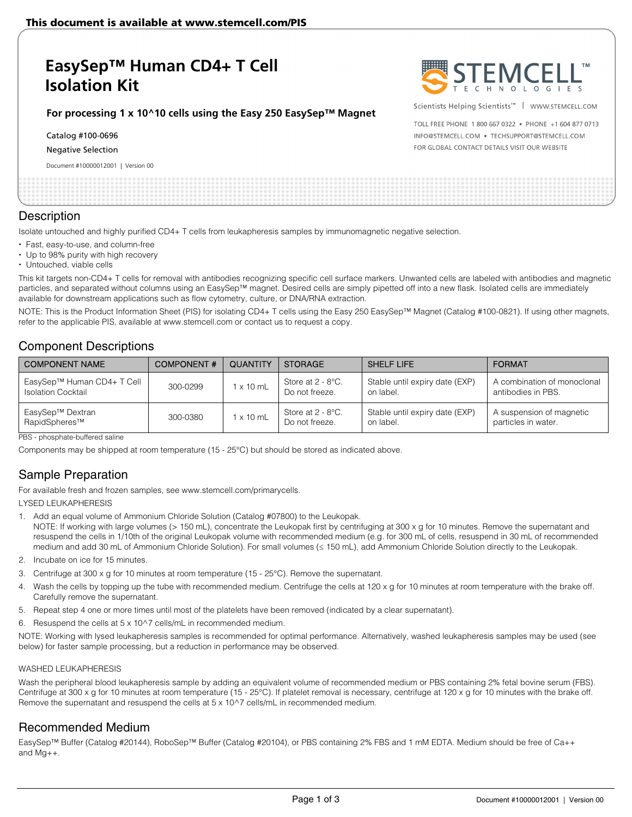# **EasySep™ Human CD4+ T Cell Isolation Kit**

### **For processing 1 x 10^10 cells using the Easy 250 EasySep™ Magnet**

Catalog #100-0696

Negative Selection

Document #10000012001 | Version 00



Scientists Helping Scientists™ | WWW.STEMCELL.COM

TOLL FREE PHONE 1 800 667 0322 . PHONE +1 604 877 0713 INFO@STEMCELL.COM . TECHSUPPORT@STEMCELL.COM FOR GLOBAL CONTACT DETAILS VISIT OUR WEBSITE

### **Description**

Isolate untouched and highly purified CD4+ T cells from leukapheresis samples by immunomagnetic negative selection.

- Fast, easy-to-use, and column-free
- Up to 98% purity with high recovery
- Untouched, viable cells

This kit targets non-CD4+ T cells for removal with antibodies recognizing specific cell surface markers. Unwanted cells are labeled with antibodies and magnetic particles, and separated without columns using an EasySep™ magnet. Desired cells are simply pipetted off into a new flask. Isolated cells are immediately available for downstream applications such as flow cytometry, culture, or DNA/RNA extraction.

NOTE: This is the Product Information Sheet (PIS) for isolating CD4+ T cells using the Easy 250 EasySep™ Magnet (Catalog #100-0821). If using other magnets, refer to the applicable PIS, available at www.stemcell.com or contact us to request a copy.

# Component Descriptions

| <b>COMPONENT NAME</b>                                   | <b>COMPONENT#</b> | <b>QUANTITY</b>  | <b>STORAGE</b>                         | SHELF LIFE                                  | <b>FORMAT</b>                                     |
|---------------------------------------------------------|-------------------|------------------|----------------------------------------|---------------------------------------------|---------------------------------------------------|
| EasySep™ Human CD4+ T Cell<br><b>Isolation Cocktail</b> | 300-0299          | 1 x 10 mL        | Store at $2 - 8$ °C.<br>Do not freeze. | Stable until expiry date (EXP)<br>on label. | A combination of monoclonal<br>antibodies in PBS. |
| EasySep™ Dextran<br>RapidSpheres™                       | 300-0380          | $1 \times 10$ mL | Store at $2 - 8$ °C.<br>Do not freeze. | Stable until expiry date (EXP)<br>on label. | A suspension of magnetic<br>particles in water.   |

PBS - phosphate-buffered saline

Components may be shipped at room temperature (15 - 25°C) but should be stored as indicated above.

# Sample Preparation

For available fresh and frozen samples, see www.stemcell.com/primarycells.

LYSED LEUKAPHERESIS

- 1. Add an equal volume of Ammonium Chloride Solution (Catalog #07800) to the Leukopak. NOTE: If working with large volumes (> 150 mL), concentrate the Leukopak first by centrifuging at 300 x g for 10 minutes. Remove the supernatant and resuspend the cells in 1/10th of the original Leukopak volume with recommended medium (e.g. for 300 mL of cells, resuspend in 30 mL of recommended medium and add 30 mL of Ammonium Chloride Solution). For small volumes (≤ 150 mL), add Ammonium Chloride Solution directly to the Leukopak.
- 2. Incubate on ice for 15 minutes.
- 3. Centrifuge at 300 x g for 10 minutes at room temperature (15 25°C). Remove the supernatant.
- 4. Wash the cells by topping up the tube with recommended medium. Centrifuge the cells at 120 x g for 10 minutes at room temperature with the brake off. Carefully remove the supernatant.
- 5. Repeat step 4 one or more times until most of the platelets have been removed (indicated by a clear supernatant).
- 6. Resuspend the cells at 5 x 10^7 cells/mL in recommended medium.

NOTE: Working with lysed leukapheresis samples is recommended for optimal performance. Alternatively, washed leukapheresis samples may be used (see below) for faster sample processing, but a reduction in performance may be observed.

### WASHED LEUKAPHERESIS

Wash the peripheral blood leukapheresis sample by adding an equivalent volume of recommended medium or PBS containing 2% fetal bovine serum (FBS). Centrifuge at 300 x g for 10 minutes at room temperature (15 - 25°C). If platelet removal is necessary, centrifuge at 120 x g for 10 minutes with the brake off. Remove the supernatant and resuspend the cells at 5 x 10^7 cells/mL in recommended medium.

# Recommended Medium

EasySep™ Buffer (Catalog #20144), RoboSep™ Buffer (Catalog #20104), or PBS containing 2% FBS and 1 mM EDTA. Medium should be free of Ca++ and Mg++.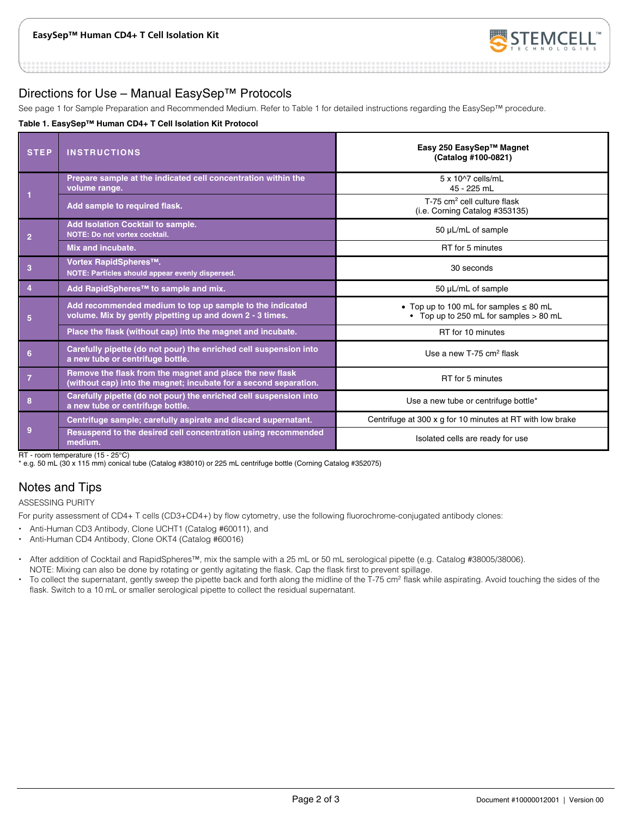

# Directions for Use – Manual EasySep™ Protocols

See page 1 for Sample Preparation and Recommended Medium. Refer to Table 1 for detailed instructions regarding the EasySep™ procedure.

### **Table 1. EasySep™ Human CD4+ T Cell Isolation Kit Protocol**

| <b>STEP</b>    | <b>INSTRUCTIONS</b>                                                                                                          | Easy 250 EasySep™ Magnet<br>(Catalog #100-0821)                                       |
|----------------|------------------------------------------------------------------------------------------------------------------------------|---------------------------------------------------------------------------------------|
|                | Prepare sample at the indicated cell concentration within the<br>volume range.                                               | 5 x 10^7 cells/mL<br>45 - 225 mL                                                      |
|                | Add sample to required flask.                                                                                                | $T-75$ cm <sup>2</sup> cell culture flask<br>(i.e. Corning Catalog #353135)           |
| $\overline{2}$ | Add Isolation Cocktail to sample.<br>NOTE: Do not vortex cocktail.                                                           | 50 µL/mL of sample                                                                    |
|                | Mix and incubate.                                                                                                            | RT for 5 minutes                                                                      |
| 3              | Vortex RapidSpheres™.<br>NOTE: Particles should appear evenly dispersed.                                                     | 30 seconds                                                                            |
| $\overline{4}$ | Add RapidSpheres™ to sample and mix.                                                                                         | 50 µL/mL of sample                                                                    |
| 5              | Add recommended medium to top up sample to the indicated<br>volume. Mix by gently pipetting up and down 2 - 3 times.         | • Top up to 100 mL for samples $\leq 80$ mL<br>• Top up to 250 mL for samples > 80 mL |
|                | Place the flask (without cap) into the magnet and incubate.                                                                  | RT for 10 minutes                                                                     |
| 6              | Carefully pipette (do not pour) the enriched cell suspension into<br>a new tube or centrifuge bottle.                        | Use a new $T-75$ cm <sup>2</sup> flask                                                |
| $\overline{7}$ | Remove the flask from the magnet and place the new flask<br>(without cap) into the magnet; incubate for a second separation. | RT for 5 minutes                                                                      |
| 8              | Carefully pipette (do not pour) the enriched cell suspension into<br>a new tube or centrifuge bottle.                        | Use a new tube or centrifuge bottle*                                                  |
|                | Centrifuge sample; carefully aspirate and discard supernatant.                                                               | Centrifuge at 300 x g for 10 minutes at RT with low brake                             |
| 9              | Resuspend to the desired cell concentration using recommended<br>medium.                                                     | Isolated cells are ready for use                                                      |

RT - room temperature (15 - 25°C)

\* e.g. 50 mL (30 x 115 mm) conical tube (Catalog #38010) or 225 mL centrifuge bottle (Corning Catalog #352075)

# Notes and Tips

ASSESSING PURITY

For purity assessment of CD4+ T cells (CD3+CD4+) by flow cytometry, use the following fluorochrome-conjugated antibody clones:

- Anti-Human CD3 Antibody, Clone UCHT1 (Catalog #60011), and
- Anti-Human CD4 Antibody, Clone OKT4 (Catalog #60016)
- After addition of Cocktail and RapidSpheres™, mix the sample with a 25 mL or 50 mL serological pipette (e.g. Catalog #38005/38006). NOTE: Mixing can also be done by rotating or gently agitating the flask. Cap the flask first to prevent spillage.
- To collect the supernatant, gently sweep the pipette back and forth along the midline of the T-75 cm<sup>2</sup> flask while aspirating. Avoid touching the sides of the flask. Switch to a 10 mL or smaller serological pipette to collect the residual supernatant.